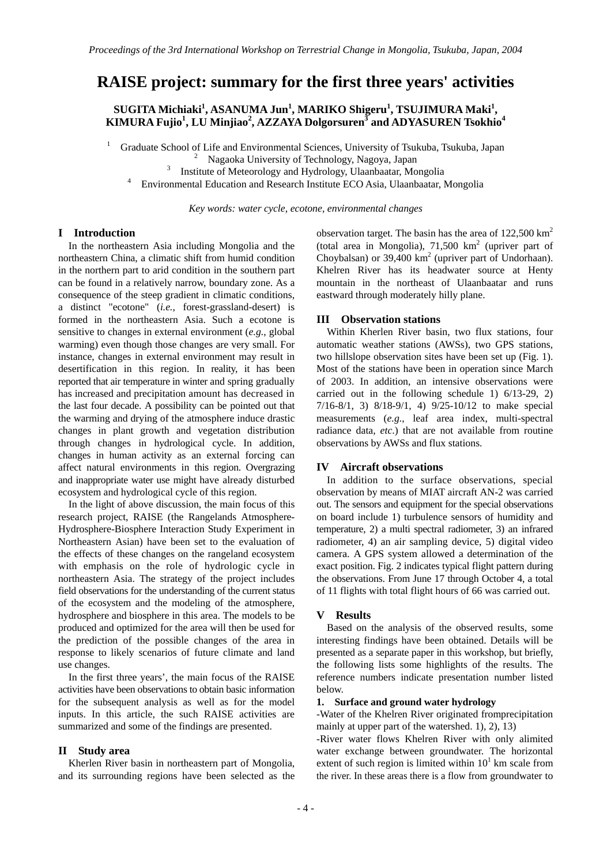# **RAISE project: summary for the first three years' activities**

 $\textbf{S}\textbf{U}\textbf{GITA}$  Michiaki<sup>1</sup>, ASANUMA Jun<sup>1</sup>, MARIKO Shigeru<sup>1</sup>, TSUJIMURA Maki<sup>1</sup>, **KIMURA Fujio<sup>1</sup> , LU Minjiao<sup>2</sup> , AZZAYA Dolgorsuren<sup>3</sup> and ADYASUREN Tsokhio<sup>4</sup>**

1 Graduate School of Life and Environmental Sciences, University of Tsukuba, Tsukuba, Japan 2

<sup>2</sup> Nagaoka University of Technology, Nagoya, Japan <sup>3</sup> Institute of Meteorology and Hydrology, Happheeter Mo

Institute of Meteorology and Hydrology, Ulaanbaatar, Mongolia 4

Environmental Education and Research Institute ECO Asia, Ulaanbaatar, Mongolia

*Key words: water cycle, ecotone, environmental changes* 

# **I Introduction**

In the northeastern Asia including Mongolia and the northeastern China, a climatic shift from humid condition in the northern part to arid condition in the southern part can be found in a relatively narrow, boundary zone. As a consequence of the steep gradient in climatic conditions, a distinct "ecotone" (*i.e.*, forest-grassland-desert) is formed in the northeastern Asia. Such a ecotone is sensitive to changes in external environment (*e.g.*, global warming) even though those changes are very small. For instance, changes in external environment may result in desertification in this region. In reality, it has been reported that air temperature in winter and spring gradually has increased and precipitation amount has decreased in the last four decade. A possibility can be pointed out that the warming and drying of the atmosphere induce drastic changes in plant growth and vegetation distribution through changes in hydrological cycle. In addition, changes in human activity as an external forcing can affect natural environments in this region. Overgrazing and inappropriate water use might have already disturbed ecosystem and hydrological cycle of this region.

In the light of above discussion, the main focus of this research project, RAISE (the Rangelands Atmosphere-Hydrosphere-Biosphere Interaction Study Experiment in Northeastern Asian) have been set to the evaluation of the effects of these changes on the rangeland ecosystem with emphasis on the role of hydrologic cycle in northeastern Asia. The strategy of the project includes field observations for the understanding of the current status of the ecosystem and the modeling of the atmosphere, hydrosphere and biosphere in this area. The models to be produced and optimized for the area will then be used for the prediction of the possible changes of the area in response to likely scenarios of future climate and land use changes.

In the first three years', the main focus of the RAISE activities have been observations to obtain basic information for the subsequent analysis as well as for the model inputs. In this article, the such RAISE activities are summarized and some of the findings are presented.

#### **II Study area**

 Kherlen River basin in northeastern part of Mongolia, and its surrounding regions have been selected as the

observation target. The basin has the area of  $122,500 \text{ km}^2$ (total area in Mongolia),  $71,500$  km<sup>2</sup> (upriver part of Choybalsan) or  $39,400 \text{ km}^2$  (upriver part of Undorhaan). Khelren River has its headwater source at Henty mountain in the northeast of Ulaanbaatar and runs eastward through moderately hilly plane.

## **III Observation stations**

 Within Kherlen River basin, two flux stations, four automatic weather stations (AWSs), two GPS stations, two hillslope observation sites have been set up (Fig. 1). Most of the stations have been in operation since March of 2003. In addition, an intensive observations were carried out in the following schedule 1) 6/13-29, 2) 7/16-8/1, 3) 8/18-9/1, 4) 9/25-10/12 to make special measurements (*e.g.*, leaf area index, multi-spectral radiance data, *etc*.) that are not available from routine observations by AWSs and flux stations.

# **IV Aircraft observations**

 In addition to the surface observations, special observation by means of MIAT aircraft AN-2 was carried out. The sensors and equipment for the special observations on board include 1) turbulence sensors of humidity and temperature, 2) a multi spectral radiometer, 3) an infrared radiometer, 4) an air sampling device, 5) digital video camera. A GPS system allowed a determination of the exact position. Fig. 2 indicates typical flight pattern during the observations. From June 17 through October 4, a total of 11 flights with total flight hours of 66 was carried out.

# **V Results**

 Based on the analysis of the observed results, some interesting findings have been obtained. Details will be presented as a separate paper in this workshop, but briefly, the following lists some highlights of the results. The reference numbers indicate presentation number listed below.

## **1. Surface and ground water hydrology**

-Water of the Khelren River originated fromprecipitation mainly at upper part of the watershed. 1), 2), 13)

-River water flows Khelren River with only alimited water exchange between groundwater. The horizontal extent of such region is limited within  $10<sup>1</sup>$  km scale from the river. In these areas there is a flow from groundwater to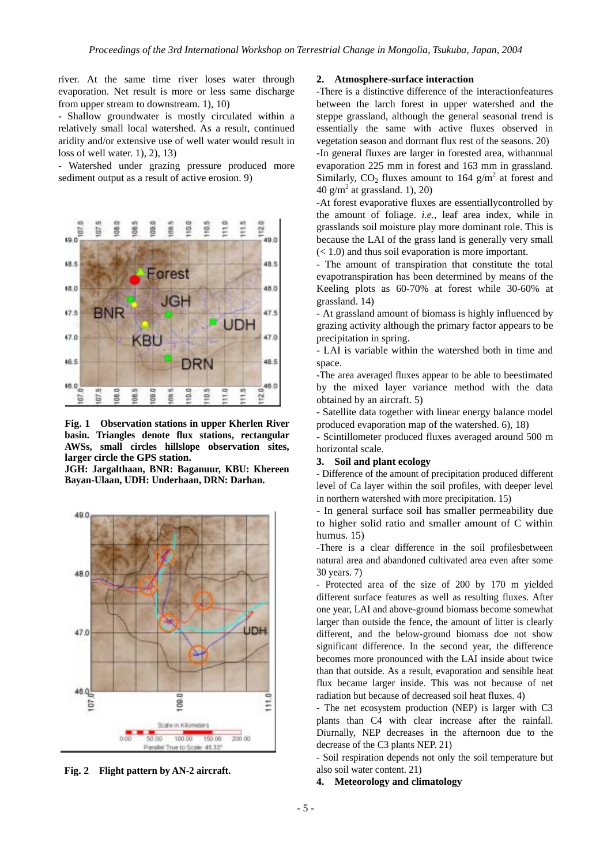river. At the same time river loses water through evaporation. Net result is more or less same discharge from upper stream to downstream. 1), 10)

- Shallow groundwater is mostly circulated within a relatively small local watershed. As a result, continued aridity and/or extensive use of well water would result in loss of well water. 1), 2), 13)

- Watershed under grazing pressure produced more sediment output as a result of active erosion. 9)



**Fig. 1 Observation stations in upper Kherlen River basin. Triangles denote flux stations, rectangular AWSs, small circles hillslope observation sites, larger circle the GPS station.** 

**JGH: Jargalthaan, BNR: Baganuur, KBU: Khereen Bayan-Ulaan, UDH: Underhaan, DRN: Darhan.** 



**Fig. 2 Flight pattern by AN-2 aircraft.** 

## **2. Atmosphere-surface interaction**

-There is a distinctive difference of the interactionfeatures between the larch forest in upper watershed and the steppe grassland, although the general seasonal trend is essentially the same with active fluxes observed in vegetation season and dormant flux rest of the seasons. 20) -In general fluxes are larger in forested area, withannual evaporation 225 mm in forest and 163 mm in grassland. Similarly,  $CO_2$  fluxes amount to 164  $g/m^2$  at forest and 40  $g/m^2$  at grassland. 1), 20)

-At forest evaporative fluxes are essentiallycontrolled by the amount of foliage. *i.e.*, leaf area index, while in grasslands soil moisture play more dominant role. This is because the LAI of the grass land is generally very small  $(< 1.0$ ) and thus soil evaporation is more important.

- The amount of transpiration that constitute the total evapotranspiration has been determined by means of the Keeling plots as 60-70% at forest while 30-60% at grassland. 14)

- At grassland amount of biomass is highly influenced by grazing activity although the primary factor appears to be precipitation in spring.

- LAI is variable within the watershed both in time and space.

-The area averaged fluxes appear to be able to beestimated by the mixed layer variance method with the data obtained by an aircraft. 5)

- Satellite data together with linear energy balance model produced evaporation map of the watershed. 6), 18)

- Scintillometer produced fluxes averaged around 500 m horizontal scale.

## **3. Soil and plant ecology**

- Difference of the amount of precipitation produced different level of Ca layer within the soil profiles, with deeper level in northern watershed with more precipitation. 15)

- In general surface soil has smaller permeability due to higher solid ratio and smaller amount of C within humus. 15)

-There is a clear difference in the soil profilesbetween natural area and abandoned cultivated area even after some 30 years. 7)

- Protected area of the size of 200 by 170 m yielded different surface features as well as resulting fluxes. After one year, LAI and above-ground biomass become somewhat larger than outside the fence, the amount of litter is clearly different, and the below-ground biomass doe not show significant difference. In the second year, the difference becomes more pronounced with the LAI inside about twice than that outside. As a result, evaporation and sensible heat flux became larger inside. This was not because of net radiation but because of decreased soil heat fluxes. 4)

- The net ecosystem production (NEP) is larger with C3 plants than C4 with clear increase after the rainfall. Diurnally, NEP decreases in the afternoon due to the decrease of the C3 plants NEP. 21)

- Soil respiration depends not only the soil temperature but also soil water content. 21)

# **4. Meteorology and climatology**